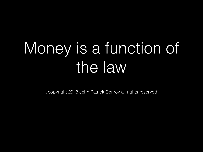## Money is a function of the law

© copyright 2018 John Patrick Conroy all rights reserved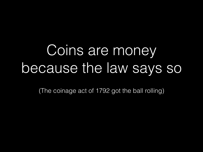### Coins are money because the law says so

(The coinage act of 1792 got the ball rolling)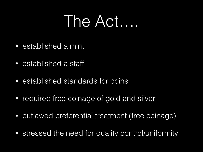#### The Act….

- established a mint
- established a staff
- established standards for coins
- required free coinage of gold and silver
- outlawed preferential treatment (free coinage)
- stressed the need for quality control/uniformity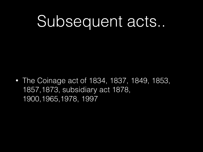### Subsequent acts...

• The Coinage act of 1834, 1837, 1849, 1853, 1857,1873, subsidiary act 1878, 1900,1965,1978, 1997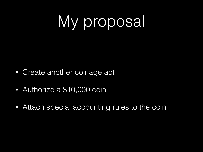## My proposal

- Create another coinage act
- Authorize a \$10,000 coin
- Attach special accounting rules to the coin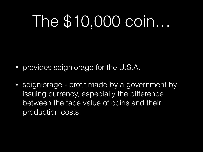### The \$10,000 coin…

- provides seigniorage for the U.S.A.
- seigniorage profit made by a government by issuing currency, especially the difference between the face value of coins and their production costs.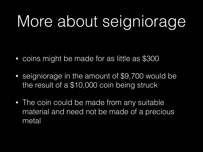## More about seigniorage

- coins might be made for as little as \$300
- seigniorage in the amount of \$9,700 would be the result of a \$10,000 coin being struck
- The coin could be made from any suitable material and need not be made of a precious metal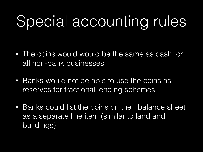## Special accounting rules

- The coins would would be the same as cash for all non-bank businesses
- Banks would not be able to use the coins as reserves for fractional lending schemes
- Banks could list the coins on their balance sheet as a separate line item (similar to land and buildings)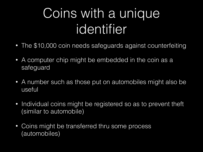#### Coins with a unique identifier

- The \$10,000 coin needs safeguards against counterfeiting
- A computer chip might be embedded in the coin as a safeguard
- A number such as those put on automobiles might also be useful
- Individual coins might be registered so as to prevent theft (similar to automobile)
- Coins might be transferred thru some process (automobiles)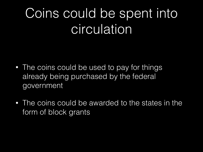#### Coins could be spent into circulation

- The coins could be used to pay for things already being purchased by the federal government
- The coins could be awarded to the states in the form of block grants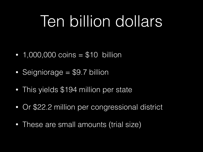### Ten billion dollars

- $\cdot$  1,000,000 coins = \$10 billion
- Seigniorage = \$9.7 billion
- This yields \$194 million per state
- Or \$22.2 million per congressional district
- These are small amounts (trial size)